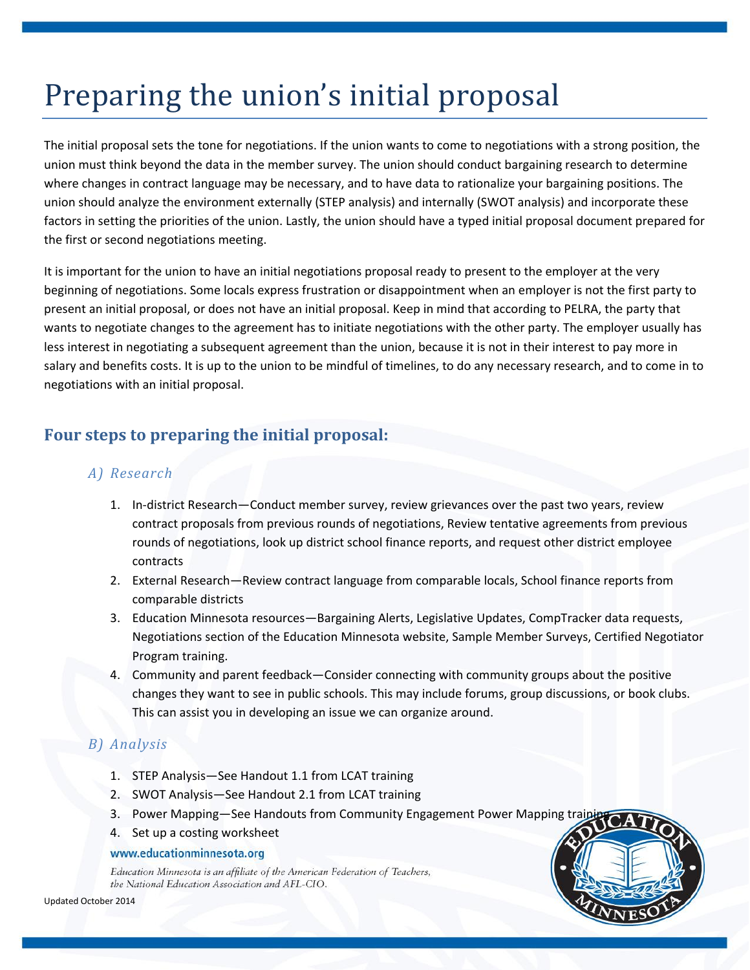# Preparing the union's initial proposal

The initial proposal sets the tone for negotiations. If the union wants to come to negotiations with a strong position, the union must think beyond the data in the member survey. The union should conduct bargaining research to determine where changes in contract language may be necessary, and to have data to rationalize your bargaining positions. The union should analyze the environment externally (STEP analysis) and internally (SWOT analysis) and incorporate these factors in setting the priorities of the union. Lastly, the union should have a typed initial proposal document prepared for the first or second negotiations meeting.

It is important for the union to have an initial negotiations proposal ready to present to the employer at the very beginning of negotiations. Some locals express frustration or disappointment when an employer is not the first party to present an initial proposal, or does not have an initial proposal. Keep in mind that according to PELRA, the party that wants to negotiate changes to the agreement has to initiate negotiations with the other party. The employer usually has less interest in negotiating a subsequent agreement than the union, because it is not in their interest to pay more in salary and benefits costs. It is up to the union to be mindful of timelines, to do any necessary research, and to come in to negotiations with an initial proposal.

# **Four steps to preparing the initial proposal:**

## *A) Research*

- 1. In-district Research—Conduct member survey, review grievances over the past two years, review contract proposals from previous rounds of negotiations, Review tentative agreements from previous rounds of negotiations, look up district school finance reports, and request other district employee contracts
- 2. External Research—Review contract language from comparable locals, School finance reports from comparable districts
- 3. Education Minnesota resources—Bargaining Alerts, Legislative Updates, CompTracker data requests, Negotiations section of the Education Minnesota website, Sample Member Surveys, Certified Negotiator Program training.
- 4. Community and parent feedback—Consider connecting with community groups about the positive changes they want to see in public schools. This may include forums, group discussions, or book clubs. This can assist you in developing an issue we can organize around.

## *B) Analysis*

- 1. STEP Analysis—See Handout 1.1 from LCAT training
- 2. SWOT Analysis—See Handout 2.1 from LCAT training
- 3. Power Mapping—See Handouts from Community Engagement Power Mapping train
- 4. Set up a costing worksheet

#### www.educationminnesota.org

Education Minnesota is an affiliate of the American Federation of Teachers, the National Education Association and AFL-CIO.

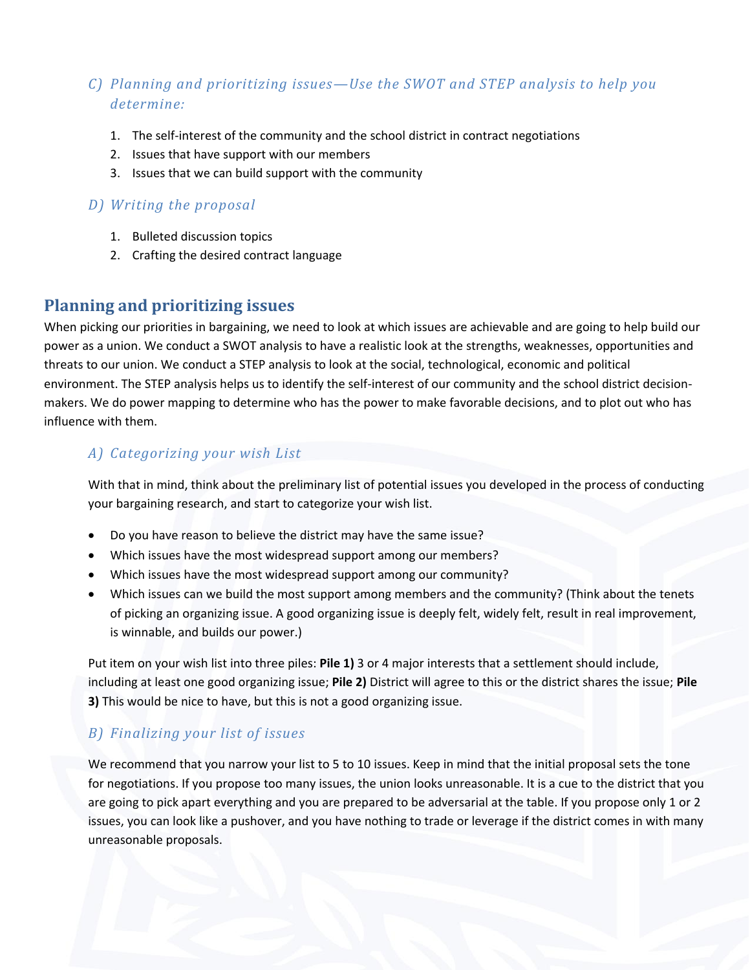## *C) Planning and prioritizing issues—Use the SWOT and STEP analysis to help you determine:*

- 1. The self-interest of the community and the school district in contract negotiations
- 2. Issues that have support with our members
- 3. Issues that we can build support with the community

#### *D) Writing the proposal*

- 1. Bulleted discussion topics
- 2. Crafting the desired contract language

## **Planning and prioritizing issues**

When picking our priorities in bargaining, we need to look at which issues are achievable and are going to help build our power as a union. We conduct a SWOT analysis to have a realistic look at the strengths, weaknesses, opportunities and threats to our union. We conduct a STEP analysis to look at the social, technological, economic and political environment. The STEP analysis helps us to identify the self-interest of our community and the school district decisionmakers. We do power mapping to determine who has the power to make favorable decisions, and to plot out who has influence with them.

## *A) Categorizing your wish List*

With that in mind, think about the preliminary list of potential issues you developed in the process of conducting your bargaining research, and start to categorize your wish list.

- Do you have reason to believe the district may have the same issue?
- Which issues have the most widespread support among our members?
- Which issues have the most widespread support among our community?
- Which issues can we build the most support among members and the community? (Think about the tenets of picking an organizing issue. A good organizing issue is deeply felt, widely felt, result in real improvement, is winnable, and builds our power.)

Put item on your wish list into three piles: **Pile 1)** 3 or 4 major interests that a settlement should include, including at least one good organizing issue; **Pile 2)** District will agree to this or the district shares the issue; **Pile 3)** This would be nice to have, but this is not a good organizing issue.

## *B) Finalizing your list of issues*

We recommend that you narrow your list to 5 to 10 issues. Keep in mind that the initial proposal sets the tone for negotiations. If you propose too many issues, the union looks unreasonable. It is a cue to the district that you are going to pick apart everything and you are prepared to be adversarial at the table. If you propose only 1 or 2 issues, you can look like a pushover, and you have nothing to trade or leverage if the district comes in with many unreasonable proposals.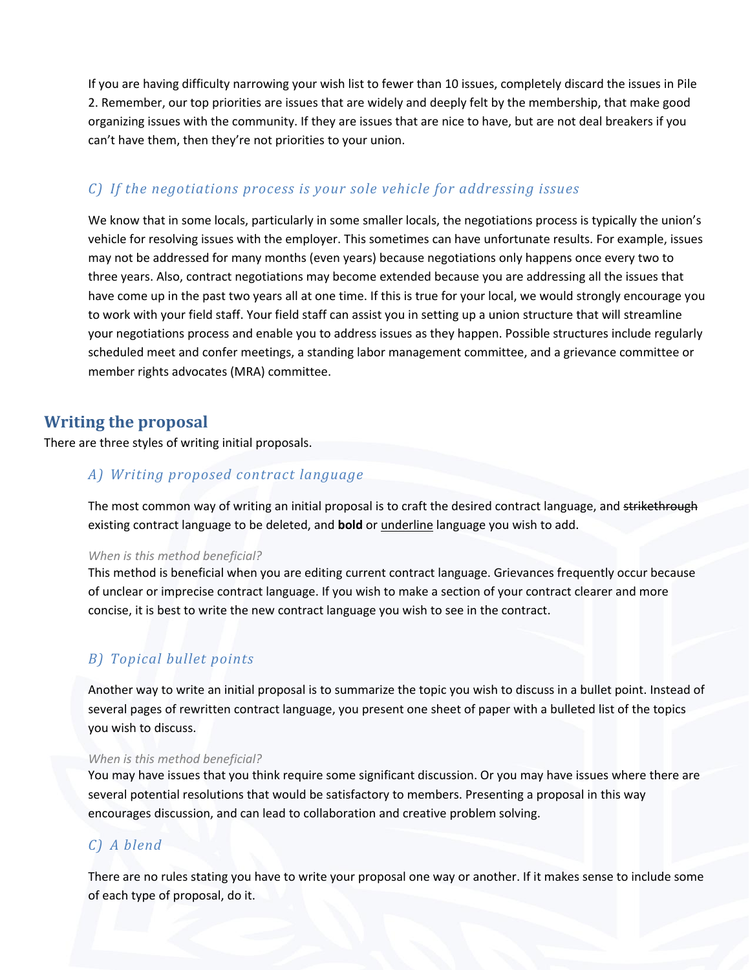If you are having difficulty narrowing your wish list to fewer than 10 issues, completely discard the issues in Pile 2. Remember, our top priorities are issues that are widely and deeply felt by the membership, that make good organizing issues with the community. If they are issues that are nice to have, but are not deal breakers if you can't have them, then they're not priorities to your union.

#### *C) If the negotiations process is your sole vehicle for addressing issues*

We know that in some locals, particularly in some smaller locals, the negotiations process is typically the union's vehicle for resolving issues with the employer. This sometimes can have unfortunate results. For example, issues may not be addressed for many months (even years) because negotiations only happens once every two to three years. Also, contract negotiations may become extended because you are addressing all the issues that have come up in the past two years all at one time. If this is true for your local, we would strongly encourage you to work with your field staff. Your field staff can assist you in setting up a union structure that will streamline your negotiations process and enable you to address issues as they happen. Possible structures include regularly scheduled meet and confer meetings, a standing labor management committee, and a grievance committee or member rights advocates (MRA) committee.

## **Writing the proposal**

There are three styles of writing initial proposals.

#### *A) Writing proposed contract language*

The most common way of writing an initial proposal is to craft the desired contract language, and strikethrough existing contract language to be deleted, and **bold** or underline language you wish to add.

#### *When is this method beneficial?*

This method is beneficial when you are editing current contract language. Grievances frequently occur because of unclear or imprecise contract language. If you wish to make a section of your contract clearer and more concise, it is best to write the new contract language you wish to see in the contract.

## *B) Topical bullet points*

Another way to write an initial proposal is to summarize the topic you wish to discuss in a bullet point. Instead of several pages of rewritten contract language, you present one sheet of paper with a bulleted list of the topics you wish to discuss.

#### *When is this method beneficial?*

You may have issues that you think require some significant discussion. Or you may have issues where there are several potential resolutions that would be satisfactory to members. Presenting a proposal in this way encourages discussion, and can lead to collaboration and creative problem solving.

## *C) A blend*

There are no rules stating you have to write your proposal one way or another. If it makes sense to include some of each type of proposal, do it.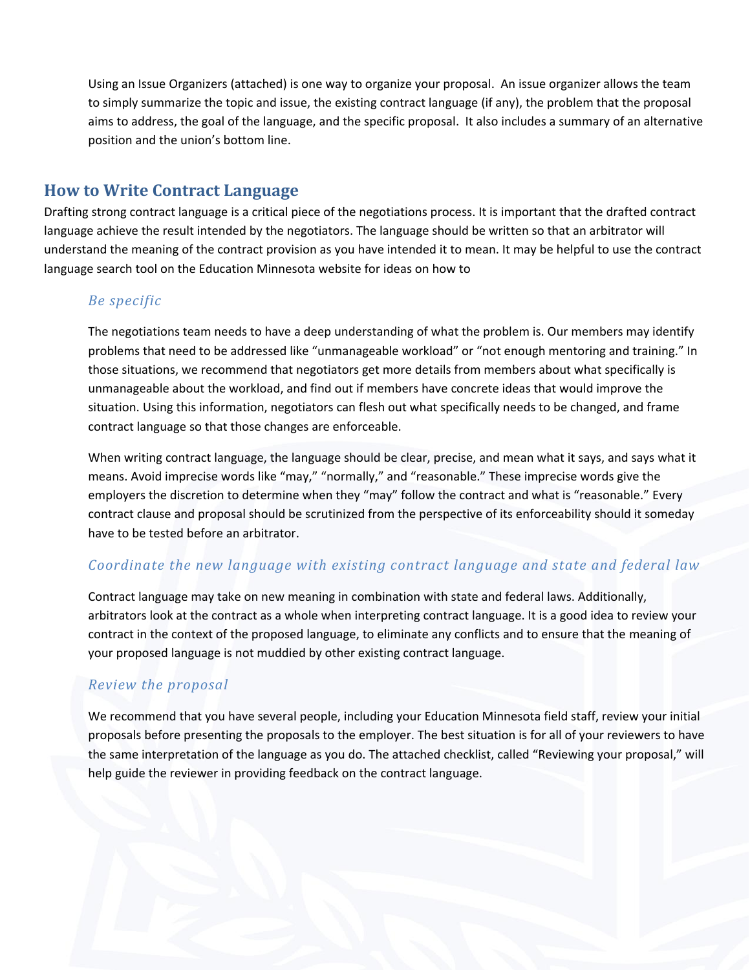Using an Issue Organizers (attached) is one way to organize your proposal. An issue organizer allows the team to simply summarize the topic and issue, the existing contract language (if any), the problem that the proposal aims to address, the goal of the language, and the specific proposal. It also includes a summary of an alternative position and the union's bottom line.

## **How to Write Contract Language**

Drafting strong contract language is a critical piece of the negotiations process. It is important that the drafted contract language achieve the result intended by the negotiators. The language should be written so that an arbitrator will understand the meaning of the contract provision as you have intended it to mean. It may be helpful to use the contract language search tool on the Education Minnesota website for ideas on how to

#### *Be specific*

The negotiations team needs to have a deep understanding of what the problem is. Our members may identify problems that need to be addressed like "unmanageable workload" or "not enough mentoring and training." In those situations, we recommend that negotiators get more details from members about what specifically is unmanageable about the workload, and find out if members have concrete ideas that would improve the situation. Using this information, negotiators can flesh out what specifically needs to be changed, and frame contract language so that those changes are enforceable.

When writing contract language, the language should be clear, precise, and mean what it says, and says what it means. Avoid imprecise words like "may," "normally," and "reasonable." These imprecise words give the employers the discretion to determine when they "may" follow the contract and what is "reasonable." Every contract clause and proposal should be scrutinized from the perspective of its enforceability should it someday have to be tested before an arbitrator.

#### *Coordinate the new language with existing contract language and state and federal law*

Contract language may take on new meaning in combination with state and federal laws. Additionally, arbitrators look at the contract as a whole when interpreting contract language. It is a good idea to review your contract in the context of the proposed language, to eliminate any conflicts and to ensure that the meaning of your proposed language is not muddied by other existing contract language.

#### *Review the proposal*

We recommend that you have several people, including your Education Minnesota field staff, review your initial proposals before presenting the proposals to the employer. The best situation is for all of your reviewers to have the same interpretation of the language as you do. The attached checklist, called "Reviewing your proposal," will help guide the reviewer in providing feedback on the contract language.